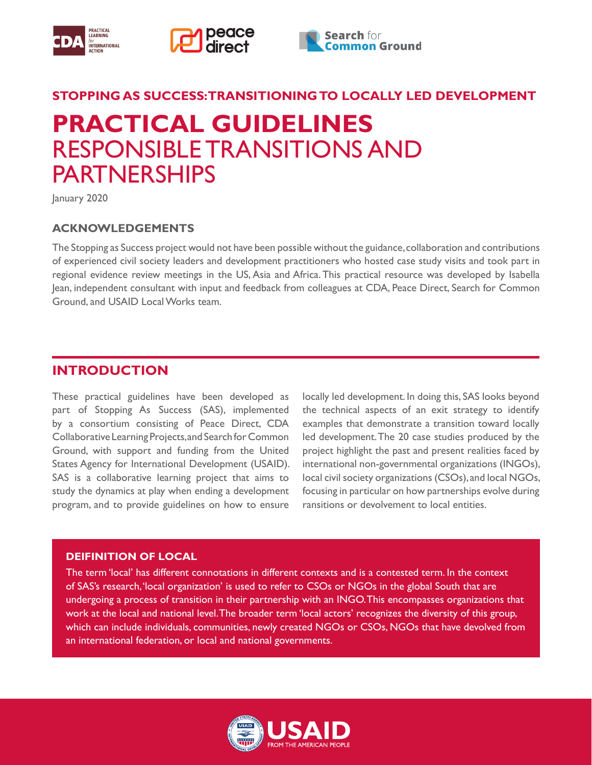





## **STOPPING AS SUCCESS: TRANSITIONING TO LOCALLY LED DEVELOPMENT**

# **PRACTICAL GUIDELINES**  RESPONSIBLE TRANSITIONS AND PARTNERSHIPS

January 2020

## **ACKNOWLEDGEMENTS**

The Stopping as Success project would not have been possible without the guidance, collaboration and contributions of experienced civil society leaders and development practitioners who hosted case study visits and took part in regional evidence review meetings in the US, Asia and Africa. This practical resource was developed by Isabella Jean, independent consultant with input and feedback from colleagues at CDA, Peace Direct, Search for Common Ground, and USAID Local Works team.

## **INTRODUCTION**

These practical guidelines have been developed as part of Stopping As Success (SAS), implemented by a consortium consisting of Peace Direct, CDA Collaborative Learning Projects, and Search for Common Ground, with support and funding from the United States Agency for International Development (USAID). SAS is a collaborative learning project that aims to study the dynamics at play when ending a development program, and to provide guidelines on how to ensure

locally led development. In doing this, SAS looks beyond the technical aspects of an exit strategy to identify examples that demonstrate a transition toward locally led development. The 20 case studies produced by the project highlight the past and present realities faced by international non-governmental organizations (INGOs), local civil society organizations (CSOs), and local NGOs, focusing in particular on how partnerships evolve during ransitions or devolvement to local entities.

#### **DEIFINITION OF LOCAL**

The term 'local' has different connotations in different contexts and is a contested term. In the context of SAS's research, 'local organization' is used to refer to CSOs or NGOs in the global South that are undergoing a process of transition in their partnership with an INGO. This encompasses organizations that work at the local and national level. The broader term 'local actors' recognizes the diversity of this group, which can include individuals, communities, newly created NGOs or CSOs, NGOs that have devolved from an international federation, or local and national governments.

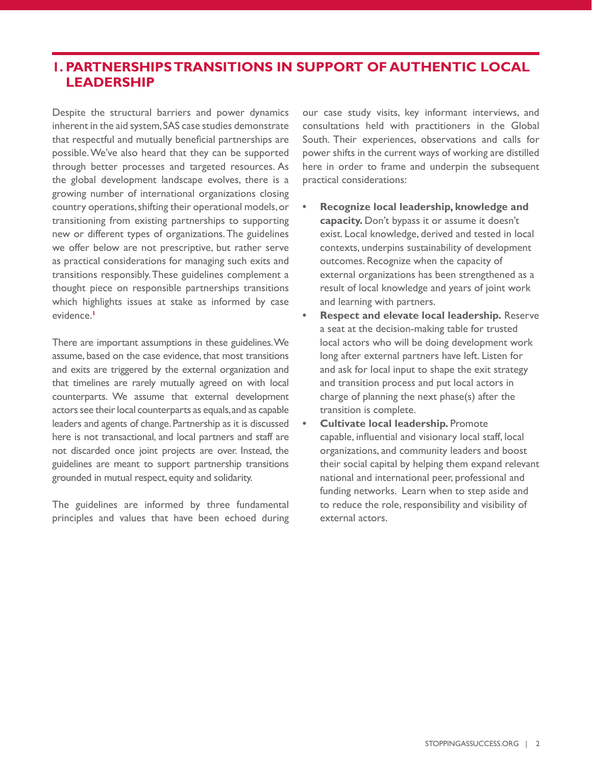# **1. PARTNERSHIPS TRANSITIONS IN SUPPORT OF AUTHENTIC LOCAL LEADERSHIP**

Despite the structural barriers and power dynamics inherent in the aid system, SAS case studies demonstrate that respectful and mutually beneficial partnerships are possible. We've also heard that they can be supported through better processes and targeted resources. As the global development landscape evolves, there is a growing number of international organizations closing country operations, shifting their operational models, or transitioning from existing partnerships to supporting new or different types of organizations. The guidelines we offer below are not prescriptive, but rather serve as practical considerations for managing such exits and transitions responsibly. These guidelines complement a thought piece on responsible partnerships transitions which highlights issues at stake as informed by case evidence.**<sup>1</sup>**

There are important assumptions in these guidelines. We assume, based on the case evidence, that most transitions and exits are triggered by the external organization and that timelines are rarely mutually agreed on with local counterparts. We assume that external development actors see their local counterparts as equals, and as capable leaders and agents of change. Partnership as it is discussed here is not transactional, and local partners and staff are not discarded once joint projects are over. Instead, the guidelines are meant to support partnership transitions grounded in mutual respect, equity and solidarity.

The guidelines are informed by three fundamental principles and values that have been echoed during our case study visits, key informant interviews, and consultations held with practitioners in the Global South. Their experiences, observations and calls for power shifts in the current ways of working are distilled here in order to frame and underpin the subsequent practical considerations:

- **• Recognize local leadership, knowledge and capacity.** Don't bypass it or assume it doesn't exist. Local knowledge, derived and tested in local contexts, underpins sustainability of development outcomes. Recognize when the capacity of external organizations has been strengthened as a result of local knowledge and years of joint work and learning with partners.
- **• Respect and elevate local leadership.** Reserve a seat at the decision-making table for trusted local actors who will be doing development work long after external partners have left. Listen for and ask for local input to shape the exit strategy and transition process and put local actors in charge of planning the next phase(s) after the transition is complete.
- **• Cultivate local leadership.** Promote capable, influential and visionary local staff, local organizations, and community leaders and boost their social capital by helping them expand relevant national and international peer, professional and funding networks. Learn when to step aside and to reduce the role, responsibility and visibility of external actors.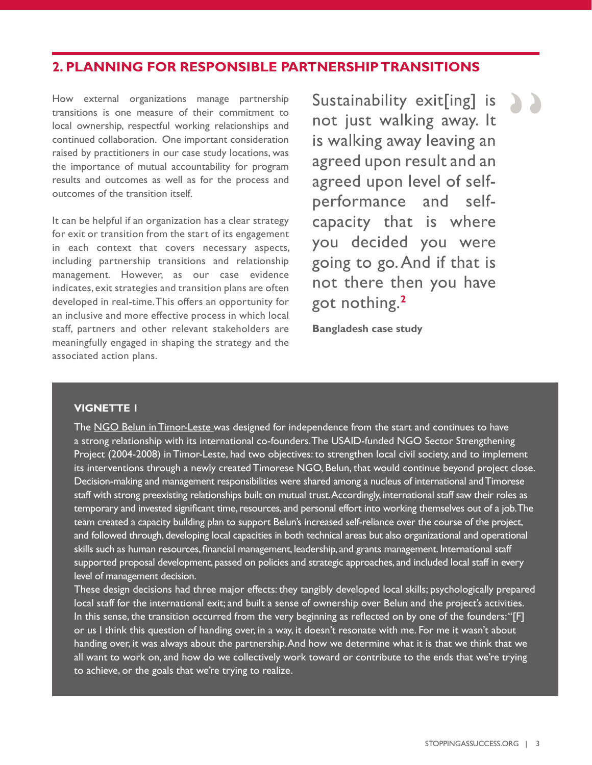## **2. PLANNING FOR RESPONSIBLE PARTNERSHIP TRANSITIONS**

How external organizations manage partnership transitions is one measure of their commitment to local ownership, respectful working relationships and continued collaboration. One important consideration raised by practitioners in our case study locations, was the importance of mutual accountability for program results and outcomes as well as for the process and outcomes of the transition itself.

It can be helpful if an organization has a clear strategy for exit or transition from the start of its engagement in each context that covers necessary aspects, including partnership transitions and relationship management. However, as our case evidence indicates, exit strategies and transition plans are often developed in real-time. This offers an opportunity for an inclusive and more effective process in which local staff, partners and other relevant stakeholders are meaningfully engaged in shaping the strategy and the associated action plans.

Sustainability exit[ing] is not just walking away. It is walking away leaving an agreed upon result and an agreed upon level of selfperformance and selfcapacity that is where you decided you were going to go. And if that is not there then you have got nothing.**<sup>2</sup>** "

**Bangladesh case study**

#### **VIGNETTE 1**

The [NGO Belun in Timor-Leste](https://www.stoppingassuccess.org/resources/belun-cicr/) was designed for independence from the start and continues to have a strong relationship with its international co-founders. The USAID-funded NGO Sector Strengthening Project (2004-2008) in Timor-Leste, had two objectives: to strengthen local civil society, and to implement its interventions through a newly created Timorese NGO, Belun, that would continue beyond project close. Decision-making and management responsibilities were shared among a nucleus of international and Timorese staff with strong preexisting relationships built on mutual trust. Accordingly, international staff saw their roles as temporary and invested significant time, resources, and personal effort into working themselves out of a job. The team created a capacity building plan to support Belun's increased self-reliance over the course of the project, and followed through, developing local capacities in both technical areas but also organizational and operational skills such as human resources, financial management, leadership, and grants management. International staff supported proposal development, passed on policies and strategic approaches, and included local staff in every level of management decision.

These design decisions had three major effects: they tangibly developed local skills; psychologically prepared local staff for the international exit; and built a sense of ownership over Belun and the project's activities. In this sense, the transition occurred from the very beginning as reflected on by one of the founders: "[F] or us I think this question of handing over, in a way, it doesn't resonate with me. For me it wasn't about handing over, it was always about the partnership. And how we determine what it is that we think that we all want to work on, and how do we collectively work toward or contribute to the ends that we're trying to achieve, or the goals that we're trying to realize.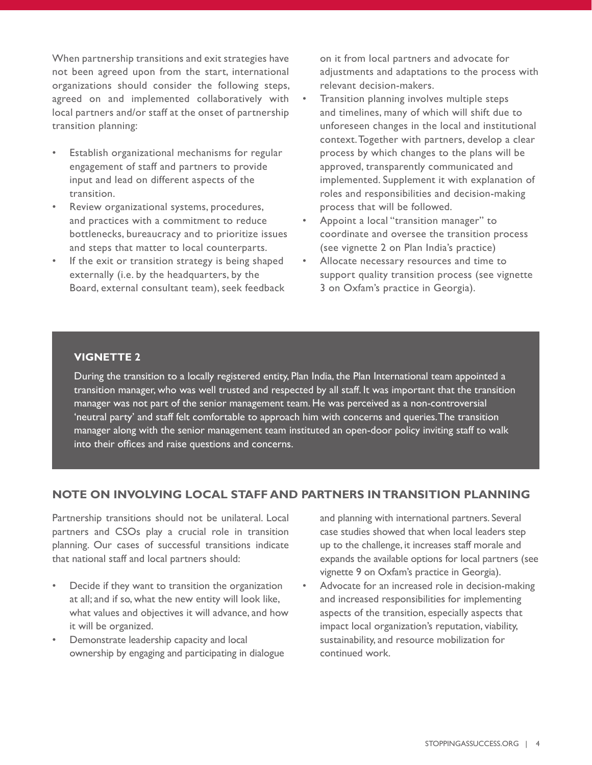When partnership transitions and exit strategies have not been agreed upon from the start, international organizations should consider the following steps, agreed on and implemented collaboratively with local partners and/or staff at the onset of partnership transition planning:

- Establish organizational mechanisms for regular engagement of staff and partners to provide input and lead on different aspects of the transition.
- Review organizational systems, procedures, and practices with a commitment to reduce bottlenecks, bureaucracy and to prioritize issues and steps that matter to local counterparts.
- If the exit or transition strategy is being shaped externally (i.e. by the headquarters, by the Board, external consultant team), seek feedback

on it from local partners and advocate for adjustments and adaptations to the process with relevant decision-makers.

- Transition planning involves multiple steps and timelines, many of which will shift due to unforeseen changes in the local and institutional context. Together with partners, develop a clear process by which changes to the plans will be approved, transparently communicated and implemented. Supplement it with explanation of roles and responsibilities and decision-making process that will be followed.
- Appoint a local "transition manager" to coordinate and oversee the transition process (see vignette 2 on Plan India's practice)
- Allocate necessary resources and time to support quality transition process (see vignette 3 on Oxfam's practice in Georgia).

## **VIGNETTE 2**

During the transition to a locally registered entity, Plan India, the Plan International team appointed a transition manager, who was well trusted and respected by all staff. It was important that the transition manager was not part of the senior management team. He was perceived as a non-controversial 'neutral party' and staff felt comfortable to approach him with concerns and queries. The transition manager along with the senior management team instituted an open-door policy inviting staff to walk into their offices and raise questions and concerns.

### **NOTE ON INVOLVING LOCAL STAFF AND PARTNERS IN TRANSITION PLANNING**

Partnership transitions should not be unilateral. Local partners and CSOs play a crucial role in transition planning. Our cases of successful transitions indicate that national staff and local partners should:

- Decide if they want to transition the organization at all; and if so, what the new entity will look like, what values and objectives it will advance, and how it will be organized.
- Demonstrate leadership capacity and local ownership by engaging and participating in dialogue

and planning with international partners. Several case studies showed that when local leaders step up to the challenge, it increases staff morale and expands the available options for local partners (see vignette 9 on Oxfam's practice in Georgia).

• Advocate for an increased role in decision-making and increased responsibilities for implementing aspects of the transition, especially aspects that impact local organization's reputation, viability, sustainability, and resource mobilization for continued work.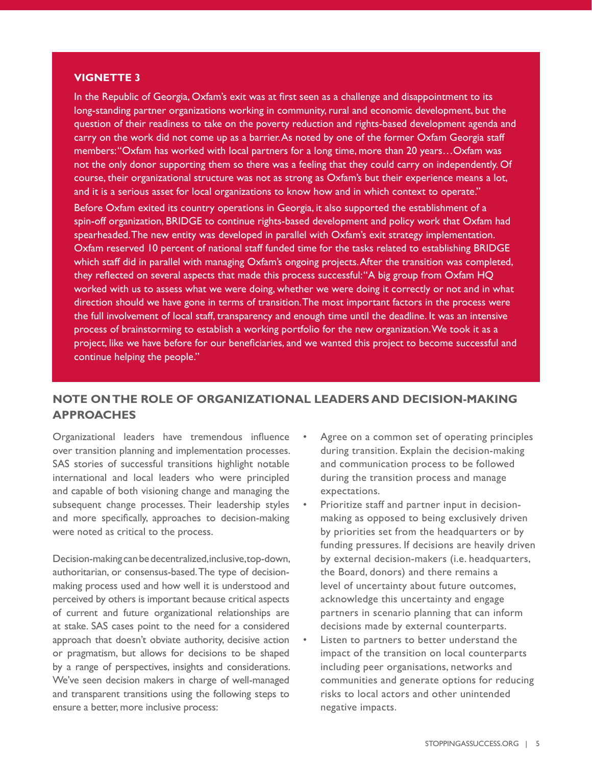#### **VIGNETTE 3**

In the Republic of Georgia, Oxfam's exit was at first seen as a challenge and disappointment to its long-standing partner organizations working in community, rural and economic development, but the question of their readiness to take on the poverty reduction and rights-based development agenda and carry on the work did not come up as a barrier. As noted by one of the former Oxfam Georgia staff members: "Oxfam has worked with local partners for a long time, more than 20 years... Oxfam was not the only donor supporting them so there was a feeling that they could carry on independently. Of course, their organizational structure was not as strong as Oxfam's but their experience means a lot, and it is a serious asset for local organizations to know how and in which context to operate."

Before Oxfam exited its country operations in Georgia, it also supported the establishment of a spin-off organization, BRIDGE to continue rights-based development and policy work that Oxfam had spearheaded. The new entity was developed in parallel with Oxfam's exit strategy implementation. Oxfam reserved 10 percent of national staff funded time for the tasks related to establishing BRIDGE which staff did in parallel with managing Oxfam's ongoing projects. After the transition was completed, they reflected on several aspects that made this process successful: "A big group from Oxfam HQ worked with us to assess what we were doing, whether we were doing it correctly or not and in what direction should we have gone in terms of transition. The most important factors in the process were the full involvement of local staff, transparency and enough time until the deadline. It was an intensive process of brainstorming to establish a working portfolio for the new organization. We took it as a project, like we have before for our beneficiaries, and we wanted this project to become successful and continue helping the people."

## **NOTE ON THE ROLE OF ORGANIZATIONAL LEADERS AND DECISION-MAKING APPROACHES**

Organizational leaders have tremendous influence over transition planning and implementation processes. SAS stories of successful transitions highlight notable international and local leaders who were principled and capable of both visioning change and managing the subsequent change processes. Their leadership styles and more specifically, approaches to decision-making were noted as critical to the process.

Decision-making can be decentralized, inclusive, top-down, authoritarian, or consensus-based. The type of decisionmaking process used and how well it is understood and perceived by others is important because critical aspects of current and future organizational relationships are at stake. SAS cases point to the need for a considered approach that doesn't obviate authority, decisive action or pragmatism, but allows for decisions to be shaped by a range of perspectives, insights and considerations. We've seen decision makers in charge of well-managed and transparent transitions using the following steps to ensure a better, more inclusive process:

- Agree on a common set of operating principles during transition. Explain the decision-making and communication process to be followed during the transition process and manage expectations.
- Prioritize staff and partner input in decisionmaking as opposed to being exclusively driven by priorities set from the headquarters or by funding pressures. If decisions are heavily driven by external decision-makers (i.e. headquarters, the Board, donors) and there remains a level of uncertainty about future outcomes, acknowledge this uncertainty and engage partners in scenario planning that can inform decisions made by external counterparts.
- Listen to partners to better understand the impact of the transition on local counterparts including peer organisations, networks and communities and generate options for reducing risks to local actors and other unintended negative impacts.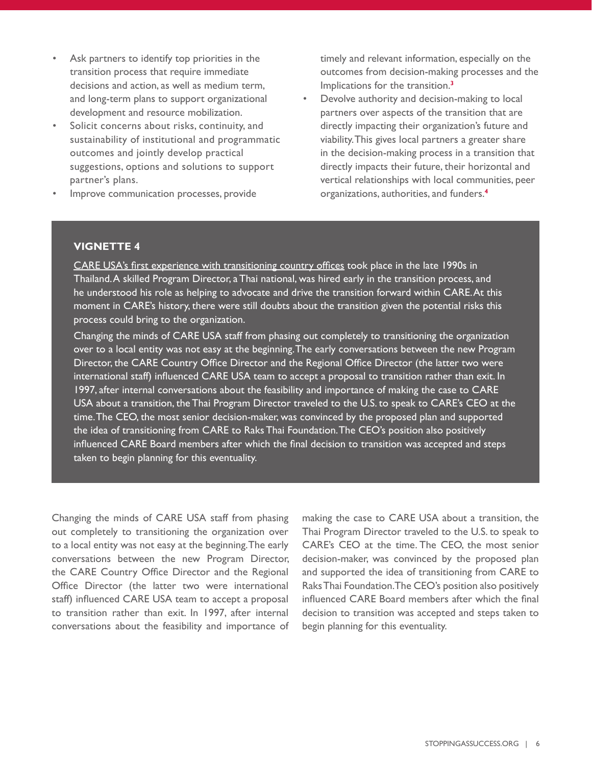- Ask partners to identify top priorities in the transition process that require immediate decisions and action, as well as medium term, and long-term plans to support organizational development and resource mobilization.
- Solicit concerns about risks, continuity, and sustainability of institutional and programmatic outcomes and jointly develop practical suggestions, options and solutions to support partner's plans.
- Improve communication processes, provide

timely and relevant information, especially on the outcomes from decision-making processes and the Implications for the transition.**<sup>3</sup>**

• Devolve authority and decision-making to local partners over aspects of the transition that are directly impacting their organization's future and viability. This gives local partners a greater share in the decision-making process in a transition that directly impacts their future, their horizontal and vertical relationships with local communities, peer organizations, authorities, and funders.**<sup>4</sup>**

#### **VIGNETTE 4**

[CARE USA's first experience with transitioning country offices](https://www.stoppingassuccess.org/resources/raks-thai-foundation/) took place in the late 1990s in Thailand. A skilled Program Director, a Thai national, was hired early in the transition process, and he understood his role as helping to advocate and drive the transition forward within CARE. At this moment in CARE's history, there were still doubts about the transition given the potential risks this process could bring to the organization.

Changing the minds of CARE USA staff from phasing out completely to transitioning the organization over to a local entity was not easy at the beginning. The early conversations between the new Program Director, the CARE Country Office Director and the Regional Office Director (the latter two were international staff) influenced CARE USA team to accept a proposal to transition rather than exit. In 1997, after internal conversations about the feasibility and importance of making the case to CARE USA about a transition, the Thai Program Director traveled to the U.S. to speak to CARE's CEO at the time. The CEO, the most senior decision-maker, was convinced by the proposed plan and supported the idea of transitioning from CARE to Raks Thai Foundation. The CEO's position also positively influenced CARE Board members after which the final decision to transition was accepted and steps taken to begin planning for this eventuality.

Changing the minds of CARE USA staff from phasing out completely to transitioning the organization over to a local entity was not easy at the beginning. The early conversations between the new Program Director, the CARE Country Office Director and the Regional Office Director (the latter two were international staff) influenced CARE USA team to accept a proposal to transition rather than exit. In 1997, after internal conversations about the feasibility and importance of

making the case to CARE USA about a transition, the Thai Program Director traveled to the U.S. to speak to CARE's CEO at the time. The CEO, the most senior decision-maker, was convinced by the proposed plan and supported the idea of transitioning from CARE to Raks Thai Foundation. The CEO's position also positively influenced CARE Board members after which the final decision to transition was accepted and steps taken to begin planning for this eventuality.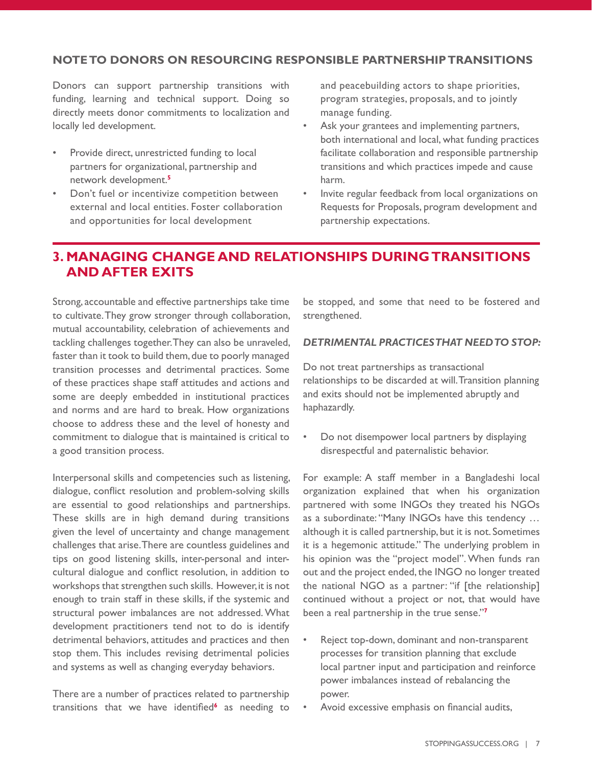## **NOTE TO DONORS ON RESOURCING RESPONSIBLE PARTNERSHIP TRANSITIONS**

Donors can support partnership transitions with funding, learning and technical support. Doing so directly meets donor commitments to localization and locally led development.

- Provide direct, unrestricted funding to local partners for organizational, partnership and network development.**<sup>5</sup>**
- Don't fuel or incentivize competition between external and local entities. Foster collaboration and opportunities for local development

and peacebuilding actors to shape priorities, program strategies, proposals, and to jointly manage funding.

- Ask your grantees and implementing partners, both international and local, what funding practices facilitate collaboration and responsible partnership transitions and which practices impede and cause harm.
- Invite regular feedback from local organizations on Requests for Proposals, program development and partnership expectations.

# **3. MANAGING CHANGE AND RELATIONSHIPS DURING TRANSITIONS AND AFTER EXITS**

Strong, accountable and effective partnerships take time to cultivate. They grow stronger through collaboration, mutual accountability, celebration of achievements and tackling challenges together. They can also be unraveled, faster than it took to build them, due to poorly managed transition processes and detrimental practices. Some of these practices shape staff attitudes and actions and some are deeply embedded in institutional practices and norms and are hard to break. How organizations choose to address these and the level of honesty and commitment to dialogue that is maintained is critical to a good transition process.

Interpersonal skills and competencies such as listening, dialogue, conflict resolution and problem-solving skills are essential to good relationships and partnerships. These skills are in high demand during transitions given the level of uncertainty and change management challenges that arise. There are countless guidelines and tips on good listening skills, inter-personal and intercultural dialogue and conflict resolution, in addition to workshops that strengthen such skills. However, it is not enough to train staff in these skills, if the systemic and structural power imbalances are not addressed. What development practitioners tend not to do is identify detrimental behaviors, attitudes and practices and then stop them. This includes revising detrimental policies and systems as well as changing everyday behaviors.

There are a number of practices related to partnership transitions that we have identified**<sup>6</sup>** as needing to be stopped, and some that need to be fostered and strengthened.

#### *DETRIMENTAL PRACTICES THAT NEED TO STOP:*

Do not treat partnerships as transactional relationships to be discarded at will. Transition planning and exits should not be implemented abruptly and haphazardly.

• Do not disempower local partners by displaying disrespectful and paternalistic behavior.

For example: A staff member in a Bangladeshi local organization explained that when his organization partnered with some INGOs they treated his NGOs as a subordinate: "Many INGOs have this tendency … although it is called partnership, but it is not. Sometimes it is a hegemonic attitude." The underlying problem in his opinion was the "project model". When funds ran out and the project ended, the INGO no longer treated the national NGO as a partner: "if [the relationship] continued without a project or not, that would have been a real partnership in the true sense."**<sup>7</sup>**

- Reject top-down, dominant and non-transparent processes for transition planning that exclude local partner input and participation and reinforce power imbalances instead of rebalancing the power.
- Avoid excessive emphasis on financial audits,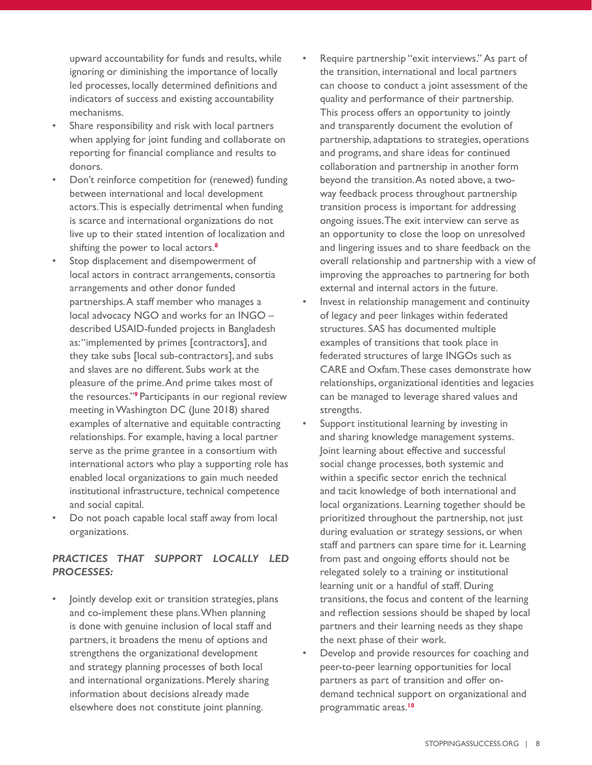upward accountability for funds and results, while ignoring or diminishing the importance of locally led processes, locally determined definitions and indicators of success and existing accountability mechanisms.

- Share responsibility and risk with local partners when applying for joint funding and collaborate on reporting for financial compliance and results to donors.
- Don't reinforce competition for (renewed) funding between international and local development actors. This is especially detrimental when funding is scarce and international organizations do not live up to their stated intention of localization and shifting the power to local actors.**<sup>8</sup>**
- Stop displacement and disempowerment of local actors in contract arrangements, consortia arrangements and other donor funded partnerships. A staff member who manages a local advocacy NGO and works for an INGO – described USAID-funded projects in Bangladesh as: "implemented by primes [contractors], and they take subs [local sub-contractors], and subs and slaves are no different. Subs work at the pleasure of the prime. And prime takes most of the resources."**<sup>9</sup>**Participants in our regional review meeting in Washington DC (June 2018) shared examples of alternative and equitable contracting relationships. For example, having a local partner serve as the prime grantee in a consortium with international actors who play a supporting role has enabled local organizations to gain much needed institutional infrastructure, technical competence and social capital.
- Do not poach capable local staff away from local organizations.

## *PRACTICES THAT SUPPORT LOCALLY LED PROCESSES:*

• Jointly develop exit or transition strategies, plans and co-implement these plans. When planning is done with genuine inclusion of local staff and partners, it broadens the menu of options and strengthens the organizational development and strategy planning processes of both local and international organizations. Merely sharing information about decisions already made elsewhere does not constitute joint planning.

- Require partnership "exit interviews." As part of the transition, international and local partners can choose to conduct a joint assessment of the quality and performance of their partnership. This process offers an opportunity to jointly and transparently document the evolution of partnership, adaptations to strategies, operations and programs, and share ideas for continued collaboration and partnership in another form beyond the transition. As noted above, a twoway feedback process throughout partnership transition process is important for addressing ongoing issues. The exit interview can serve as an opportunity to close the loop on unresolved and lingering issues and to share feedback on the overall relationship and partnership with a view of improving the approaches to partnering for both external and internal actors in the future.
- Invest in relationship management and continuity of legacy and peer linkages within federated structures. SAS has documented multiple examples of transitions that took place in federated structures of large INGOs such as CARE and Oxfam. These cases demonstrate how relationships, organizational identities and legacies can be managed to leverage shared values and strengths.
- Support institutional learning by investing in and sharing knowledge management systems. Joint learning about effective and successful social change processes, both systemic and within a specific sector enrich the technical and tacit knowledge of both international and local organizations. Learning together should be prioritized throughout the partnership, not just during evaluation or strategy sessions, or when staff and partners can spare time for it. Learning from past and ongoing efforts should not be relegated solely to a training or institutional learning unit or a handful of staff. During transitions, the focus and content of the learning and reflection sessions should be shaped by local partners and their learning needs as they shape the next phase of their work.
- Develop and provide resources for coaching and peer-to-peer learning opportunities for local partners as part of transition and offer ondemand technical support on organizational and programmatic areas.**10**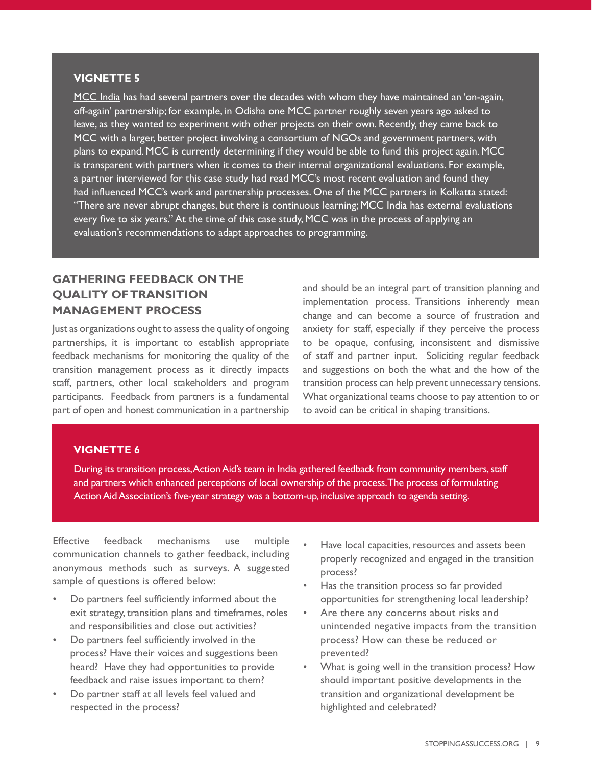#### **VIGNETTE 5**

[MCC India](https://www.stoppingassuccess.org/resources/mcc-india/) has had several partners over the decades with whom they have maintained an 'on-again, off-again' partnership; for example, in Odisha one MCC partner roughly seven years ago asked to leave, as they wanted to experiment with other projects on their own. Recently, they came back to MCC with a larger, better project involving a consortium of NGOs and government partners, with plans to expand. MCC is currently determining if they would be able to fund this project again. MCC is transparent with partners when it comes to their internal organizational evaluations. For example, a partner interviewed for this case study had read MCC's most recent evaluation and found they had influenced MCC's work and partnership processes. One of the MCC partners in Kolkatta stated: "There are never abrupt changes, but there is continuous learning; MCC India has external evaluations every five to six years." At the time of this case study, MCC was in the process of applying an evaluation's recommendations to adapt approaches to programming.

## **GATHERING FEEDBACK ON THE QUALITY OF TRANSITION MANAGEMENT PROCESS**

Just as organizations ought to assess the quality of ongoing partnerships, it is important to establish appropriate feedback mechanisms for monitoring the quality of the transition management process as it directly impacts staff, partners, other local stakeholders and program participants. Feedback from partners is a fundamental part of open and honest communication in a partnership and should be an integral part of transition planning and implementation process. Transitions inherently mean change and can become a source of frustration and anxiety for staff, especially if they perceive the process to be opaque, confusing, inconsistent and dismissive of staff and partner input. Soliciting regular feedback and suggestions on both the what and the how of the transition process can help prevent unnecessary tensions. What organizational teams choose to pay attention to or to avoid can be critical in shaping transitions.

#### **VIGNETTE 6**

During its transition process, Action Aid's team in India gathered feedback from community members, staff and partners which enhanced perceptions of local ownership of the process. The process of formulating Action Aid Association's five-year strategy was a bottom-up, inclusive approach to agenda setting.

Effective feedback mechanisms use multiple communication channels to gather feedback, including anonymous methods such as surveys. A suggested sample of questions is offered below:

- Do partners feel sufficiently informed about the exit strategy, transition plans and timeframes, roles and responsibilities and close out activities?
- Do partners feel sufficiently involved in the process? Have their voices and suggestions been heard? Have they had opportunities to provide feedback and raise issues important to them?
- Do partner staff at all levels feel valued and respected in the process?
- Have local capacities, resources and assets been properly recognized and engaged in the transition process?
- Has the transition process so far provided opportunities for strengthening local leadership?
- Are there any concerns about risks and unintended negative impacts from the transition process? How can these be reduced or prevented?
- What is going well in the transition process? How should important positive developments in the transition and organizational development be highlighted and celebrated?